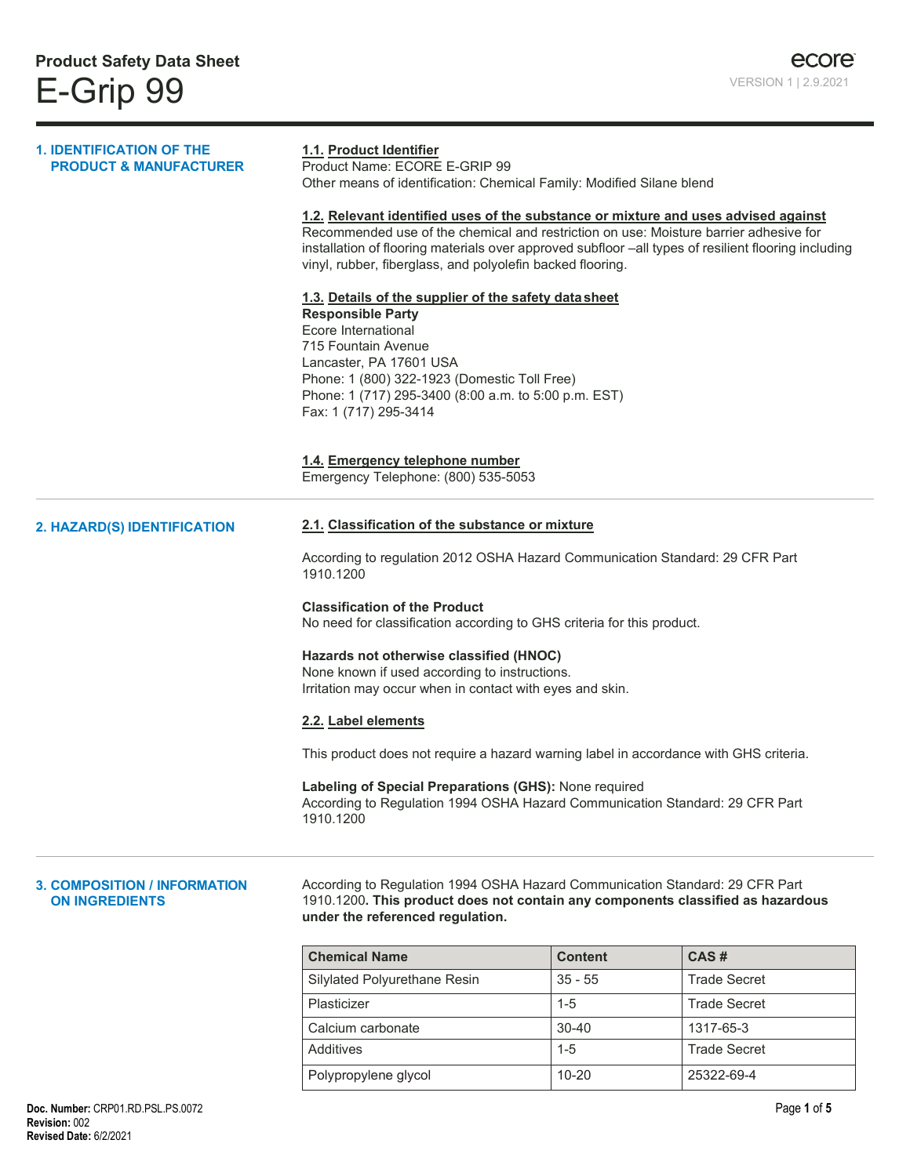| <b>1. IDENTIFICATION OF THE</b><br><b>PRODUCT &amp; MANUFACTURER</b> | 1.1. Product Identifier<br>Product Name: ECORE E-GRIP 99<br>Other means of identification: Chemical Family: Modified Silane blend                                                                                                                                                                                                                                                                                                                                                                                                                                                                                                                |                |                     |  |
|----------------------------------------------------------------------|--------------------------------------------------------------------------------------------------------------------------------------------------------------------------------------------------------------------------------------------------------------------------------------------------------------------------------------------------------------------------------------------------------------------------------------------------------------------------------------------------------------------------------------------------------------------------------------------------------------------------------------------------|----------------|---------------------|--|
|                                                                      | 1.2. Relevant identified uses of the substance or mixture and uses advised against<br>Recommended use of the chemical and restriction on use: Moisture barrier adhesive for<br>installation of flooring materials over approved subfloor -all types of resilient flooring including<br>vinyl, rubber, fiberglass, and polyolefin backed flooring.<br>1.3. Details of the supplier of the safety data sheet<br><b>Responsible Party</b><br>Ecore International<br>715 Fountain Avenue<br>Lancaster, PA 17601 USA<br>Phone: 1 (800) 322-1923 (Domestic Toll Free)<br>Phone: 1 (717) 295-3400 (8:00 a.m. to 5:00 p.m. EST)<br>Fax: 1 (717) 295-3414 |                |                     |  |
|                                                                      |                                                                                                                                                                                                                                                                                                                                                                                                                                                                                                                                                                                                                                                  |                |                     |  |
|                                                                      | 1.4. Emergency telephone number<br>Emergency Telephone: (800) 535-5053                                                                                                                                                                                                                                                                                                                                                                                                                                                                                                                                                                           |                |                     |  |
| 2. HAZARD(S) IDENTIFICATION                                          | 2.1. Classification of the substance or mixture                                                                                                                                                                                                                                                                                                                                                                                                                                                                                                                                                                                                  |                |                     |  |
|                                                                      | According to regulation 2012 OSHA Hazard Communication Standard: 29 CFR Part<br>1910.1200                                                                                                                                                                                                                                                                                                                                                                                                                                                                                                                                                        |                |                     |  |
|                                                                      | <b>Classification of the Product</b><br>No need for classification according to GHS criteria for this product.                                                                                                                                                                                                                                                                                                                                                                                                                                                                                                                                   |                |                     |  |
|                                                                      | Hazards not otherwise classified (HNOC)<br>None known if used according to instructions.<br>Irritation may occur when in contact with eyes and skin.                                                                                                                                                                                                                                                                                                                                                                                                                                                                                             |                |                     |  |
|                                                                      | 2.2. Label elements                                                                                                                                                                                                                                                                                                                                                                                                                                                                                                                                                                                                                              |                |                     |  |
|                                                                      | This product does not require a hazard warning label in accordance with GHS criteria.                                                                                                                                                                                                                                                                                                                                                                                                                                                                                                                                                            |                |                     |  |
|                                                                      | Labeling of Special Preparations (GHS): None required<br>According to Regulation 1994 OSHA Hazard Communication Standard: 29 CFR Part<br>1910.1200                                                                                                                                                                                                                                                                                                                                                                                                                                                                                               |                |                     |  |
| <b>3. COMPOSITION / INFORMATION</b><br><b>ON INGREDIENTS</b>         | According to Regulation 1994 OSHA Hazard Communication Standard: 29 CFR Part<br>1910.1200. This product does not contain any components classified as hazardous<br>under the referenced regulation.                                                                                                                                                                                                                                                                                                                                                                                                                                              |                |                     |  |
|                                                                      | <b>Chemical Name</b>                                                                                                                                                                                                                                                                                                                                                                                                                                                                                                                                                                                                                             | <b>Content</b> | CAS#                |  |
|                                                                      | Silylated Polyurethane Resin                                                                                                                                                                                                                                                                                                                                                                                                                                                                                                                                                                                                                     | $35 - 55$      | <b>Trade Secret</b> |  |
|                                                                      | Plasticizer                                                                                                                                                                                                                                                                                                                                                                                                                                                                                                                                                                                                                                      | $1 - 5$        | <b>Trade Secret</b> |  |
|                                                                      | Calcium carbonate                                                                                                                                                                                                                                                                                                                                                                                                                                                                                                                                                                                                                                | 30-40          | 1317-65-3           |  |
|                                                                      | Additives                                                                                                                                                                                                                                                                                                                                                                                                                                                                                                                                                                                                                                        | $1 - 5$        | <b>Trade Secret</b> |  |
|                                                                      | Polypropylene glycol                                                                                                                                                                                                                                                                                                                                                                                                                                                                                                                                                                                                                             | $10 - 20$      | 25322-69-4          |  |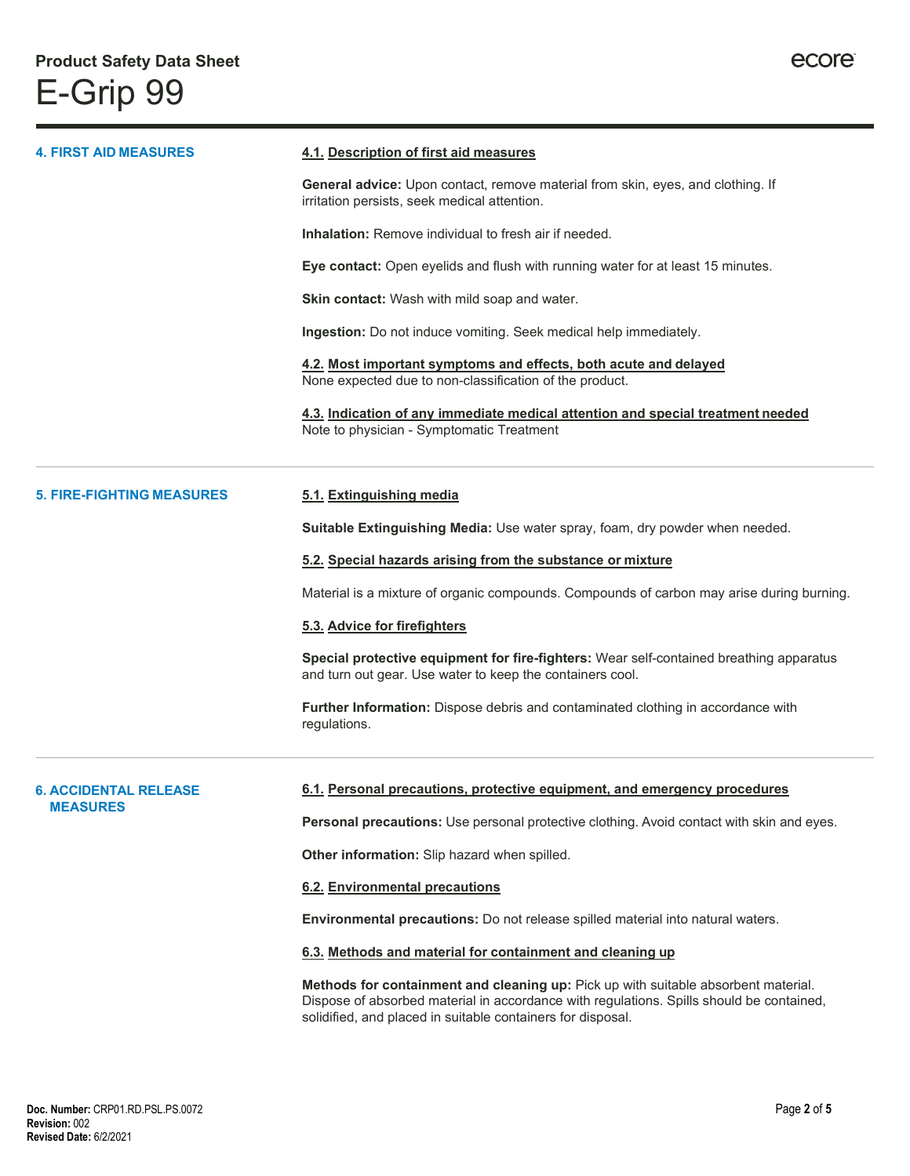| <b>4. FIRST AID MEASURES</b>                    | 4.1. Description of first aid measures                                                                                                                                                                                                        |  |  |
|-------------------------------------------------|-----------------------------------------------------------------------------------------------------------------------------------------------------------------------------------------------------------------------------------------------|--|--|
|                                                 | General advice: Upon contact, remove material from skin, eyes, and clothing. If<br>irritation persists, seek medical attention.                                                                                                               |  |  |
|                                                 | <b>Inhalation:</b> Remove individual to fresh air if needed.                                                                                                                                                                                  |  |  |
|                                                 | Eye contact: Open eyelids and flush with running water for at least 15 minutes.                                                                                                                                                               |  |  |
|                                                 | Skin contact: Wash with mild soap and water.                                                                                                                                                                                                  |  |  |
|                                                 | Ingestion: Do not induce vomiting. Seek medical help immediately.                                                                                                                                                                             |  |  |
|                                                 | 4.2. Most important symptoms and effects, both acute and delayed<br>None expected due to non-classification of the product.                                                                                                                   |  |  |
|                                                 | 4.3. Indication of any immediate medical attention and special treatment needed<br>Note to physician - Symptomatic Treatment                                                                                                                  |  |  |
| <b>5. FIRE-FIGHTING MEASURES</b>                | 5.1. Extinguishing media                                                                                                                                                                                                                      |  |  |
|                                                 | Suitable Extinguishing Media: Use water spray, foam, dry powder when needed.                                                                                                                                                                  |  |  |
|                                                 | 5.2. Special hazards arising from the substance or mixture                                                                                                                                                                                    |  |  |
|                                                 | Material is a mixture of organic compounds. Compounds of carbon may arise during burning.                                                                                                                                                     |  |  |
|                                                 | 5.3. Advice for firefighters                                                                                                                                                                                                                  |  |  |
|                                                 | Special protective equipment for fire-fighters: Wear self-contained breathing apparatus<br>and turn out gear. Use water to keep the containers cool.                                                                                          |  |  |
|                                                 | Further Information: Dispose debris and contaminated clothing in accordance with<br>regulations.                                                                                                                                              |  |  |
|                                                 |                                                                                                                                                                                                                                               |  |  |
| <b>6. ACCIDENTAL RELEASE</b><br><b>MEASURES</b> | 6.1. Personal precautions, protective equipment, and emergency procedures                                                                                                                                                                     |  |  |
|                                                 | <b>Personal precautions:</b> Use personal protective clothing. Avoid contact with skin and eyes.                                                                                                                                              |  |  |
|                                                 | Other information: Slip hazard when spilled.                                                                                                                                                                                                  |  |  |
|                                                 | 6.2. Environmental precautions                                                                                                                                                                                                                |  |  |
|                                                 | Environmental precautions: Do not release spilled material into natural waters.                                                                                                                                                               |  |  |
|                                                 | 6.3. Methods and material for containment and cleaning up                                                                                                                                                                                     |  |  |
|                                                 | Methods for containment and cleaning up: Pick up with suitable absorbent material.<br>Dispose of absorbed material in accordance with regulations. Spills should be contained,<br>solidified, and placed in suitable containers for disposal. |  |  |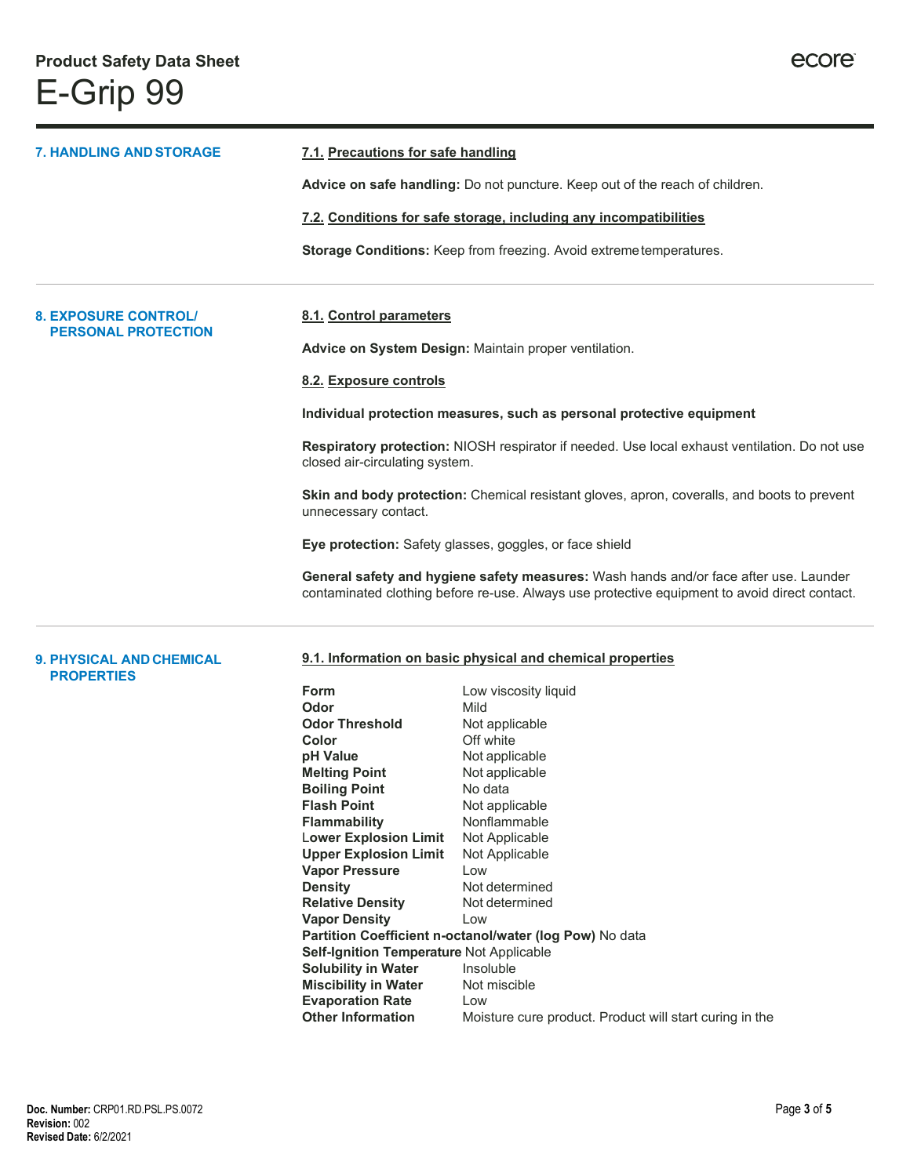| <b>7. HANDLING AND STORAGE</b>                       |                                                                                                                                 | 7.1. Precautions for safe handling<br>Advice on safe handling: Do not puncture. Keep out of the reach of children.                                                                     |  |
|------------------------------------------------------|---------------------------------------------------------------------------------------------------------------------------------|----------------------------------------------------------------------------------------------------------------------------------------------------------------------------------------|--|
|                                                      |                                                                                                                                 |                                                                                                                                                                                        |  |
|                                                      |                                                                                                                                 | 7.2. Conditions for safe storage, including any incompatibilities                                                                                                                      |  |
|                                                      |                                                                                                                                 | Storage Conditions: Keep from freezing. Avoid extreme temperatures.                                                                                                                    |  |
| <b>8. EXPOSURE CONTROL</b>                           | 8.1. Control parameters                                                                                                         |                                                                                                                                                                                        |  |
| <b>PERSONAL PROTECTION</b>                           |                                                                                                                                 | Advice on System Design: Maintain proper ventilation.                                                                                                                                  |  |
|                                                      | 8.2. Exposure controls                                                                                                          |                                                                                                                                                                                        |  |
|                                                      |                                                                                                                                 | Individual protection measures, such as personal protective equipment                                                                                                                  |  |
|                                                      | Respiratory protection: NIOSH respirator if needed. Use local exhaust ventilation. Do not use<br>closed air-circulating system. |                                                                                                                                                                                        |  |
|                                                      | unnecessary contact.                                                                                                            | Skin and body protection: Chemical resistant gloves, apron, coveralls, and boots to prevent                                                                                            |  |
|                                                      | Eye protection: Safety glasses, goggles, or face shield                                                                         |                                                                                                                                                                                        |  |
|                                                      |                                                                                                                                 | General safety and hygiene safety measures: Wash hands and/or face after use. Launder<br>contaminated clothing before re-use. Always use protective equipment to avoid direct contact. |  |
| <b>9. PHYSICAL AND CHEMICAL</b><br><b>PROPERTIES</b> |                                                                                                                                 | 9.1. Information on basic physical and chemical properties                                                                                                                             |  |
|                                                      | Form                                                                                                                            | Low viscosity liquid                                                                                                                                                                   |  |
|                                                      | Odor<br><b>Odor Threshold</b>                                                                                                   | Mild<br>Not applicable                                                                                                                                                                 |  |
|                                                      | Color                                                                                                                           | Off white                                                                                                                                                                              |  |
|                                                      | pH Value                                                                                                                        | Not applicable                                                                                                                                                                         |  |
|                                                      | <b>Melting Point</b>                                                                                                            | Not applicable                                                                                                                                                                         |  |
|                                                      | <b>Boiling Point</b>                                                                                                            | No data                                                                                                                                                                                |  |
|                                                      | <b>Flash Point</b>                                                                                                              | Not applicable                                                                                                                                                                         |  |
|                                                      | <b>Flammability</b>                                                                                                             | Nonflammable                                                                                                                                                                           |  |
|                                                      | <b>Lower Explosion Limit</b>                                                                                                    | Not Applicable                                                                                                                                                                         |  |

**Upper Explosion Limit** Not Applicable

**Density Not determined**<br> **Relative Density Not determined** 

**Self-Ignition Temperature Not Applicable Solubility in Water Insoluble Solubility in Water** Insoluble<br> **Miscibility in Water** Not miscible

**Partition Coefficient n-octanol/water (log Pow)** No data

Moisture cure product. Product will start curing in the

**Vapor Pressure** Low

**Vapor Density** Low

**Evaporation Rate** Low<br> **Other Information** Mois

**Relative Density** 

**Miscibility** in Water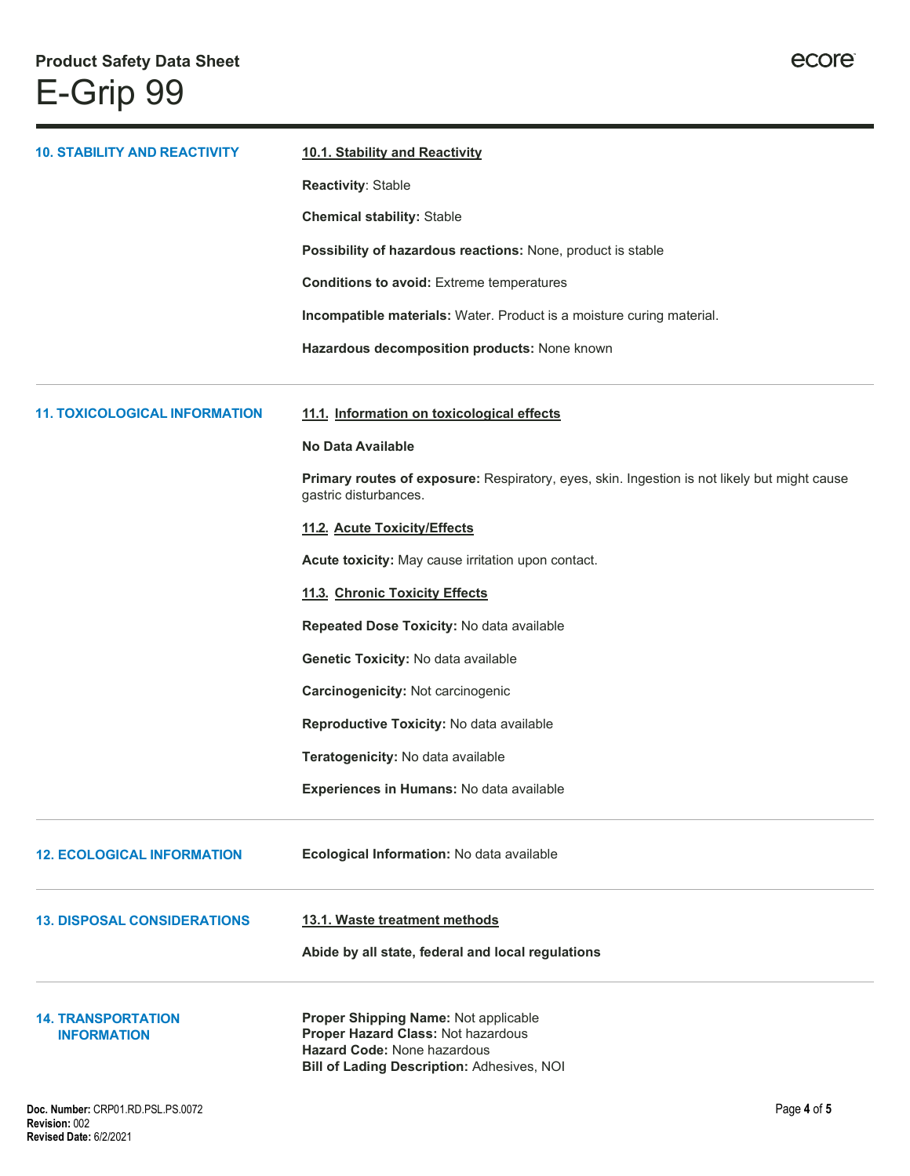| <b>10. STABILITY AND REACTIVITY</b>             | 10.1. Stability and Reactivity<br>Reactivity: Stable<br><b>Chemical stability: Stable</b><br>Possibility of hazardous reactions: None, product is stable<br><b>Conditions to avoid:</b> Extreme temperatures<br>Incompatible materials: Water. Product is a moisture curing material. |  |
|-------------------------------------------------|---------------------------------------------------------------------------------------------------------------------------------------------------------------------------------------------------------------------------------------------------------------------------------------|--|
|                                                 | Hazardous decomposition products: None known                                                                                                                                                                                                                                          |  |
| <b>11. TOXICOLOGICAL INFORMATION</b>            | 11.1. Information on toxicological effects<br><b>No Data Available</b>                                                                                                                                                                                                                |  |
|                                                 | Primary routes of exposure: Respiratory, eyes, skin. Ingestion is not likely but might cause<br>gastric disturbances.                                                                                                                                                                 |  |
|                                                 | 11.2. Acute Toxicity/Effects                                                                                                                                                                                                                                                          |  |
|                                                 | Acute toxicity: May cause irritation upon contact.                                                                                                                                                                                                                                    |  |
|                                                 | 11.3. Chronic Toxicity Effects                                                                                                                                                                                                                                                        |  |
|                                                 | Repeated Dose Toxicity: No data available                                                                                                                                                                                                                                             |  |
|                                                 | Genetic Toxicity: No data available                                                                                                                                                                                                                                                   |  |
|                                                 | Carcinogenicity: Not carcinogenic                                                                                                                                                                                                                                                     |  |
|                                                 | Reproductive Toxicity: No data available                                                                                                                                                                                                                                              |  |
|                                                 | Teratogenicity: No data available                                                                                                                                                                                                                                                     |  |
|                                                 | <b>Experiences in Humans: No data available</b>                                                                                                                                                                                                                                       |  |
| <b>12. ECOLOGICAL INFORMATION</b>               | Ecological Information: No data available                                                                                                                                                                                                                                             |  |
| <b>13. DISPOSAL CONSIDERATIONS</b>              | 13.1. Waste treatment methods                                                                                                                                                                                                                                                         |  |
|                                                 | Abide by all state, federal and local regulations                                                                                                                                                                                                                                     |  |
| <b>14. TRANSPORTATION</b><br><b>INFORMATION</b> | Proper Shipping Name: Not applicable<br>Proper Hazard Class: Not hazardous<br>Hazard Code: None hazardous<br>Bill of Lading Description: Adhesives, NOI                                                                                                                               |  |